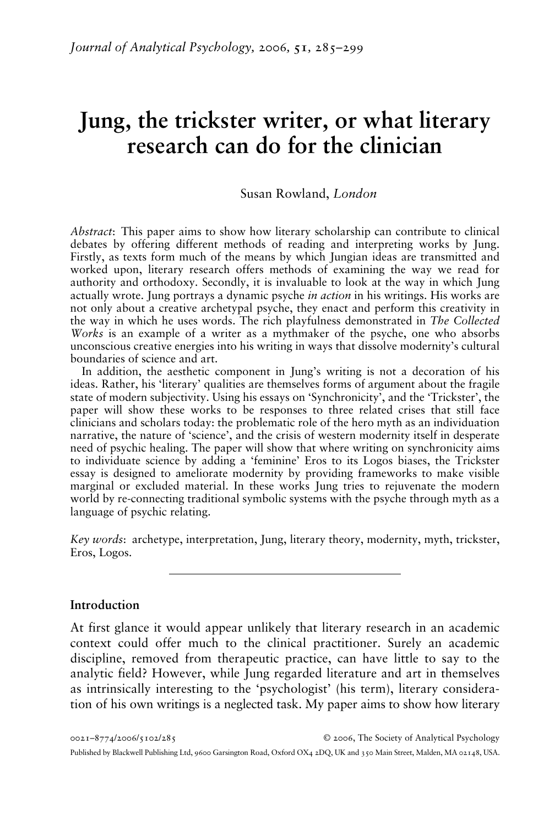# **Jung, the trickster writer, or what literary research can do for the clinician**

Susan Rowland, *London*

*Abstract*: This paper aims to show how literary scholarship can contribute to clinical debates by offering different methods of reading and interpreting works by Jung. Firstly, as texts form much of the means by which Jungian ideas are transmitted and worked upon, literary research offers methods of examining the way we read for authority and orthodoxy. Secondly, it is invaluable to look at the way in which Jung actually wrote. Jung portrays a dynamic psyche *in action* in his writings. His works are not only about a creative archetypal psyche, they enact and perform this creativity in the way in which he uses words. The rich playfulness demonstrated in *The Collected Works* is an example of a writer as a mythmaker of the psyche, one who absorbs unconscious creative energies into his writing in ways that dissolve modernity's cultural boundaries of science and art.

In addition, the aesthetic component in Jung's writing is not a decoration of his ideas. Rather, his 'literary' qualities are themselves forms of argument about the fragile state of modern subjectivity. Using his essays on 'Synchronicity', and the 'Trickster', the paper will show these works to be responses to three related crises that still face clinicians and scholars today: the problematic role of the hero myth as an individuation narrative, the nature of 'science', and the crisis of western modernity itself in desperate need of psychic healing. The paper will show that where writing on synchronicity aims to individuate science by adding a 'feminine' Eros to its Logos biases, the Trickster essay is designed to ameliorate modernity by providing frameworks to make visible marginal or excluded material. In these works Jung tries to rejuvenate the modern world by re-connecting traditional symbolic systems with the psyche through myth as a language of psychic relating.

*Key words*: archetype, interpretation, Jung, literary theory, modernity, myth, trickster, Eros, Logos.

## **Introduction**

At first glance it would appear unlikely that literary research in an academic context could offer much to the clinical practitioner. Surely an academic discipline, removed from therapeutic practice, can have little to say to the analytic field? However, while Jung regarded literature and art in themselves as intrinsically interesting to the 'psychologist' (his term), literary consideration of his own writings is a neglected task. My paper aims to show how literary

0021–8774/2006/5102/285 © 2006, The Society of Analytical Psychology Published by Blackwell Publishing Ltd, 9600 Garsington Road, Oxford OX4 2DQ, UK and 350 Main Street, Malden, MA 02148, USA.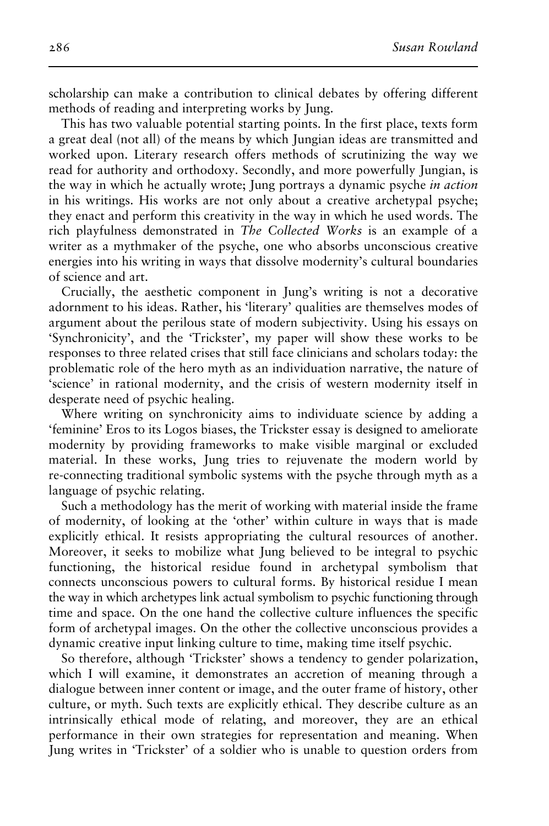scholarship can make a contribution to clinical debates by offering different methods of reading and interpreting works by Jung.

This has two valuable potential starting points. In the first place, texts form a great deal (not all) of the means by which Jungian ideas are transmitted and worked upon. Literary research offers methods of scrutinizing the way we read for authority and orthodoxy. Secondly, and more powerfully Jungian, is the way in which he actually wrote; Jung portrays a dynamic psyche *in action* in his writings. His works are not only about a creative archetypal psyche; they enact and perform this creativity in the way in which he used words. The rich playfulness demonstrated in *The Collected Works* is an example of a writer as a mythmaker of the psyche, one who absorbs unconscious creative energies into his writing in ways that dissolve modernity's cultural boundaries of science and art.

Crucially, the aesthetic component in Jung's writing is not a decorative adornment to his ideas. Rather, his 'literary' qualities are themselves modes of argument about the perilous state of modern subjectivity. Using his essays on 'Synchronicity', and the 'Trickster', my paper will show these works to be responses to three related crises that still face clinicians and scholars today: the problematic role of the hero myth as an individuation narrative, the nature of 'science' in rational modernity, and the crisis of western modernity itself in desperate need of psychic healing.

Where writing on synchronicity aims to individuate science by adding a 'feminine' Eros to its Logos biases, the Trickster essay is designed to ameliorate modernity by providing frameworks to make visible marginal or excluded material. In these works, Jung tries to rejuvenate the modern world by re-connecting traditional symbolic systems with the psyche through myth as a language of psychic relating.

Such a methodology has the merit of working with material inside the frame of modernity, of looking at the 'other' within culture in ways that is made explicitly ethical. It resists appropriating the cultural resources of another. Moreover, it seeks to mobilize what Jung believed to be integral to psychic functioning, the historical residue found in archetypal symbolism that connects unconscious powers to cultural forms. By historical residue I mean the way in which archetypes link actual symbolism to psychic functioning through time and space. On the one hand the collective culture influences the specific form of archetypal images. On the other the collective unconscious provides a dynamic creative input linking culture to time, making time itself psychic.

So therefore, although 'Trickster' shows a tendency to gender polarization, which I will examine, it demonstrates an accretion of meaning through a dialogue between inner content or image, and the outer frame of history, other culture, or myth. Such texts are explicitly ethical. They describe culture as an intrinsically ethical mode of relating, and moreover, they are an ethical performance in their own strategies for representation and meaning. When Jung writes in 'Trickster' of a soldier who is unable to question orders from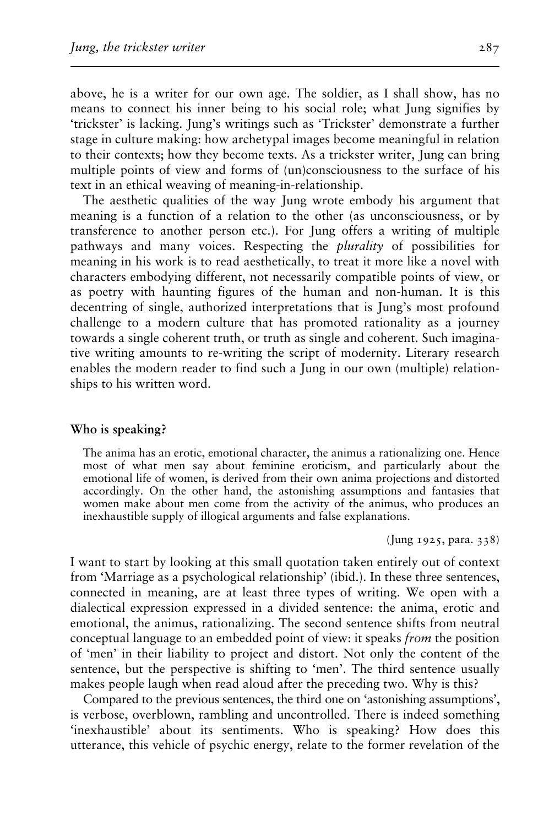above, he is a writer for our own age. The soldier, as I shall show, has no means to connect his inner being to his social role; what Jung signifies by 'trickster' is lacking. Jung's writings such as 'Trickster' demonstrate a further stage in culture making: how archetypal images become meaningful in relation to their contexts; how they become texts. As a trickster writer, Jung can bring multiple points of view and forms of (un)consciousness to the surface of his text in an ethical weaving of meaning-in-relationship.

The aesthetic qualities of the way Jung wrote embody his argument that meaning is a function of a relation to the other (as unconsciousness, or by transference to another person etc.). For Jung offers a writing of multiple pathways and many voices. Respecting the *plurality* of possibilities for meaning in his work is to read aesthetically, to treat it more like a novel with characters embodying different, not necessarily compatible points of view, or as poetry with haunting figures of the human and non-human. It is this decentring of single, authorized interpretations that is Jung's most profound challenge to a modern culture that has promoted rationality as a journey towards a single coherent truth, or truth as single and coherent. Such imaginative writing amounts to re-writing the script of modernity. Literary research enables the modern reader to find such a Jung in our own (multiple) relationships to his written word.

## **Who is speaking?**

The anima has an erotic, emotional character, the animus a rationalizing one. Hence most of what men say about feminine eroticism, and particularly about the emotional life of women, is derived from their own anima projections and distorted accordingly. On the other hand, the astonishing assumptions and fantasies that women make about men come from the activity of the animus, who produces an inexhaustible supply of illogical arguments and false explanations.

(Jung 1925, para. 338)

I want to start by looking at this small quotation taken entirely out of context from 'Marriage as a psychological relationship' (ibid.). In these three sentences, connected in meaning, are at least three types of writing. We open with a dialectical expression expressed in a divided sentence: the anima, erotic and emotional, the animus, rationalizing. The second sentence shifts from neutral conceptual language to an embedded point of view: it speaks *from* the position of 'men' in their liability to project and distort. Not only the content of the sentence, but the perspective is shifting to 'men'. The third sentence usually makes people laugh when read aloud after the preceding two. Why is this?

Compared to the previous sentences, the third one on 'astonishing assumptions', is verbose, overblown, rambling and uncontrolled. There is indeed something 'inexhaustible' about its sentiments. Who is speaking? How does this utterance, this vehicle of psychic energy, relate to the former revelation of the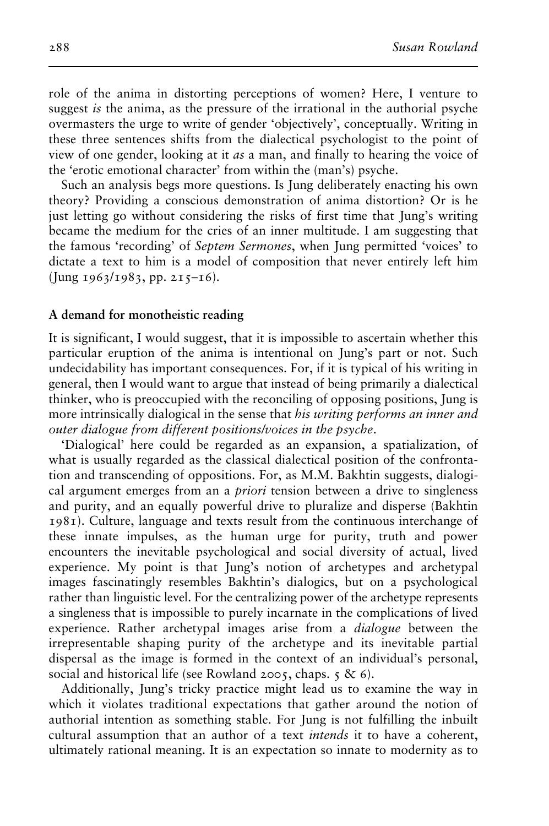role of the anima in distorting perceptions of women? Here, I venture to suggest *is* the anima, as the pressure of the irrational in the authorial psyche overmasters the urge to write of gender 'objectively', conceptually. Writing in these three sentences shifts from the dialectical psychologist to the point of view of one gender, looking at it *as* a man, and finally to hearing the voice of the 'erotic emotional character' from within the (man's) psyche.

Such an analysis begs more questions. Is Jung deliberately enacting his own theory? Providing a conscious demonstration of anima distortion? Or is he just letting go without considering the risks of first time that Jung's writing became the medium for the cries of an inner multitude. I am suggesting that the famous 'recording' of *Septem Sermones*, when Jung permitted 'voices' to dictate a text to him is a model of composition that never entirely left him  $\frac{1}{\text{Jung } 1963}}$  1963/1983, pp. 215–16).

## **A demand for monotheistic reading**

It is significant, I would suggest, that it is impossible to ascertain whether this particular eruption of the anima is intentional on Jung's part or not. Such undecidability has important consequences. For, if it is typical of his writing in general, then I would want to argue that instead of being primarily a dialectical thinker, who is preoccupied with the reconciling of opposing positions, Jung is more intrinsically dialogical in the sense that *his writing performs an inner and outer dialogue from different positions/voices in the psyche*.

'Dialogical' here could be regarded as an expansion, a spatialization, of what is usually regarded as the classical dialectical position of the confrontation and transcending of oppositions. For, as M.M. Bakhtin suggests, dialogical argument emerges from an a *priori* tension between a drive to singleness and purity, and an equally powerful drive to pluralize and disperse (Bakhtin 1981). Culture, language and texts result from the continuous interchange of these innate impulses, as the human urge for purity, truth and power encounters the inevitable psychological and social diversity of actual, lived experience. My point is that Jung's notion of archetypes and archetypal images fascinatingly resembles Bakhtin's dialogics, but on a psychological rather than linguistic level. For the centralizing power of the archetype represents a singleness that is impossible to purely incarnate in the complications of lived experience. Rather archetypal images arise from a *dialogue* between the irrepresentable shaping purity of the archetype and its inevitable partial dispersal as the image is formed in the context of an individual's personal, social and historical life (see Rowland 2005, chaps. 5 & 6).

Additionally, Jung's tricky practice might lead us to examine the way in which it violates traditional expectations that gather around the notion of authorial intention as something stable. For Jung is not fulfilling the inbuilt cultural assumption that an author of a text *intends* it to have a coherent, ultimately rational meaning. It is an expectation so innate to modernity as to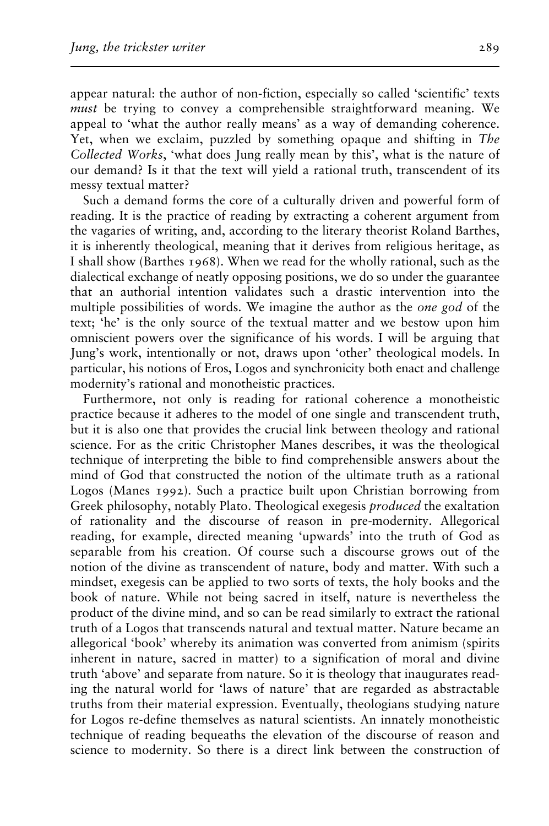appear natural: the author of non-fiction, especially so called 'scientific' texts *must* be trying to convey a comprehensible straightforward meaning. We appeal to 'what the author really means' as a way of demanding coherence. Yet, when we exclaim, puzzled by something opaque and shifting in *The Collected Works*, 'what does Jung really mean by this', what is the nature of our demand? Is it that the text will yield a rational truth, transcendent of its messy textual matter?

Such a demand forms the core of a culturally driven and powerful form of reading. It is the practice of reading by extracting a coherent argument from the vagaries of writing, and, according to the literary theorist Roland Barthes, it is inherently theological, meaning that it derives from religious heritage, as I shall show (Barthes 1968). When we read for the wholly rational, such as the dialectical exchange of neatly opposing positions, we do so under the guarantee that an authorial intention validates such a drastic intervention into the multiple possibilities of words. We imagine the author as the *one god* of the text; 'he' is the only source of the textual matter and we bestow upon him omniscient powers over the significance of his words. I will be arguing that Jung's work, intentionally or not, draws upon 'other' theological models. In particular, his notions of Eros, Logos and synchronicity both enact and challenge modernity's rational and monotheistic practices.

Furthermore, not only is reading for rational coherence a monotheistic practice because it adheres to the model of one single and transcendent truth, but it is also one that provides the crucial link between theology and rational science. For as the critic Christopher Manes describes, it was the theological technique of interpreting the bible to find comprehensible answers about the mind of God that constructed the notion of the ultimate truth as a rational Logos (Manes 1992). Such a practice built upon Christian borrowing from Greek philosophy, notably Plato. Theological exegesis *produced* the exaltation of rationality and the discourse of reason in pre-modernity. Allegorical reading, for example, directed meaning 'upwards' into the truth of God as separable from his creation. Of course such a discourse grows out of the notion of the divine as transcendent of nature, body and matter. With such a mindset, exegesis can be applied to two sorts of texts, the holy books and the book of nature. While not being sacred in itself, nature is nevertheless the product of the divine mind, and so can be read similarly to extract the rational truth of a Logos that transcends natural and textual matter. Nature became an allegorical 'book' whereby its animation was converted from animism (spirits inherent in nature, sacred in matter) to a signification of moral and divine truth 'above' and separate from nature. So it is theology that inaugurates reading the natural world for 'laws of nature' that are regarded as abstractable truths from their material expression. Eventually, theologians studying nature for Logos re-define themselves as natural scientists. An innately monotheistic technique of reading bequeaths the elevation of the discourse of reason and science to modernity. So there is a direct link between the construction of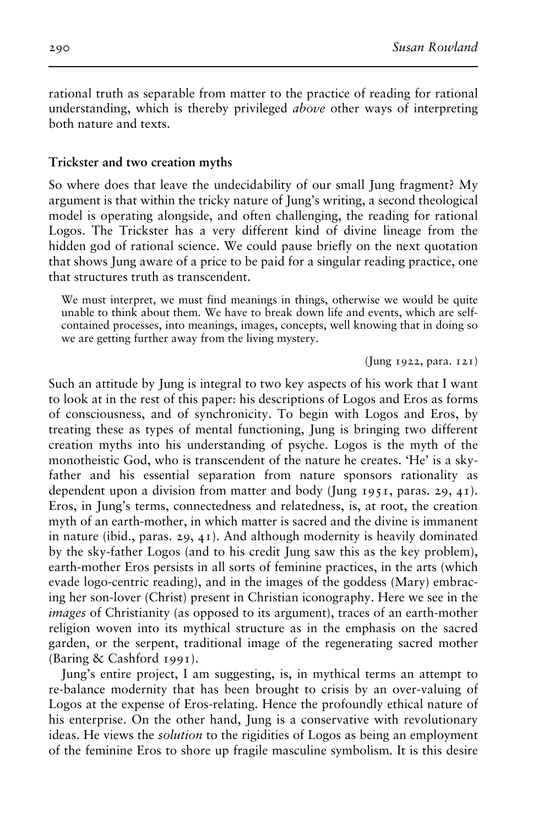rational truth as separable from matter to the practice of reading for rational understanding, which is thereby privileged *above* other ways of interpreting both nature and texts.

# **Trickster and two creation myths**

So where does that leave the undecidability of our small Jung fragment? My argument is that within the tricky nature of Jung's writing, a second theological model is operating alongside, and often challenging, the reading for rational Logos. The Trickster has a very different kind of divine lineage from the hidden god of rational science. We could pause briefly on the next quotation that shows Jung aware of a price to be paid for a singular reading practice, one that structures truth as transcendent.

We must interpret, we must find meanings in things, otherwise we would be quite unable to think about them. We have to break down life and events, which are selfcontained processes, into meanings, images, concepts, well knowing that in doing so we are getting further away from the living mystery.

(Jung 1922, para. 121)

Such an attitude by Jung is integral to two key aspects of his work that I want to look at in the rest of this paper: his descriptions of Logos and Eros as forms of consciousness, and of synchronicity. To begin with Logos and Eros, by treating these as types of mental functioning, Jung is bringing two different creation myths into his understanding of psyche. Logos is the myth of the monotheistic God, who is transcendent of the nature he creates. 'He' is a skyfather and his essential separation from nature sponsors rationality as dependent upon a division from matter and body (Jung 1951, paras. 29, 41). Eros, in Jung's terms, connectedness and relatedness, is, at root, the creation myth of an earth-mother, in which matter is sacred and the divine is immanent in nature (ibid., paras. 29, 41). And although modernity is heavily dominated by the sky-father Logos (and to his credit Jung saw this as the key problem), earth-mother Eros persists in all sorts of feminine practices, in the arts (which evade logo-centric reading), and in the images of the goddess (Mary) embracing her son-lover (Christ) present in Christian iconography. Here we see in the *images* of Christianity (as opposed to its argument), traces of an earth-mother religion woven into its mythical structure as in the emphasis on the sacred garden, or the serpent, traditional image of the regenerating sacred mother (Baring & Cashford 1991).

Jung's entire project, I am suggesting, is, in mythical terms an attempt to re-balance modernity that has been brought to crisis by an over-valuing of Logos at the expense of Eros-relating. Hence the profoundly ethical nature of his enterprise. On the other hand, Jung is a conservative with revolutionary ideas. He views the *solution* to the rigidities of Logos as being an employment of the feminine Eros to shore up fragile masculine symbolism. It is this desire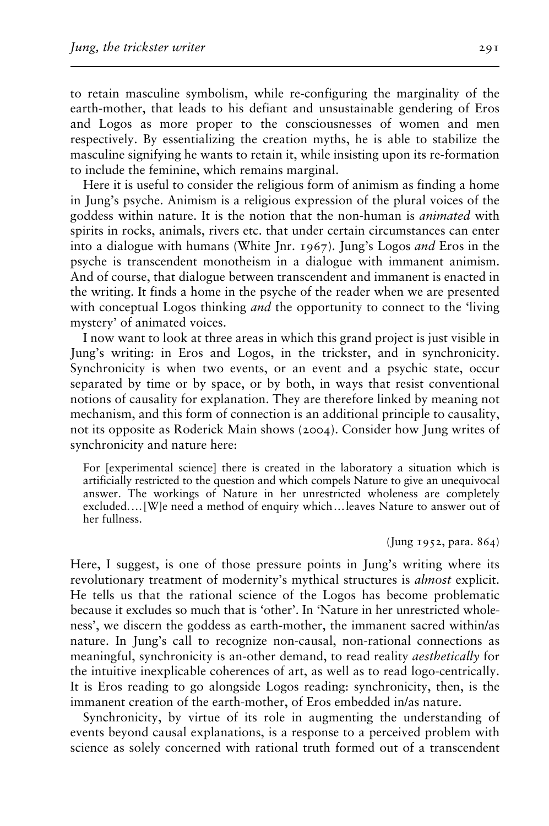to retain masculine symbolism, while re-configuring the marginality of the earth-mother, that leads to his defiant and unsustainable gendering of Eros and Logos as more proper to the consciousnesses of women and men respectively. By essentializing the creation myths, he is able to stabilize the masculine signifying he wants to retain it, while insisting upon its re-formation to include the feminine, which remains marginal.

Here it is useful to consider the religious form of animism as finding a home in Jung's psyche. Animism is a religious expression of the plural voices of the goddess within nature. It is the notion that the non-human is *animated* with spirits in rocks, animals, rivers etc. that under certain circumstances can enter into a dialogue with humans (White Jnr. 1967). Jung's Logos *and* Eros in the psyche is transcendent monotheism in a dialogue with immanent animism. And of course, that dialogue between transcendent and immanent is enacted in the writing. It finds a home in the psyche of the reader when we are presented with conceptual Logos thinking *and* the opportunity to connect to the 'living' mystery' of animated voices.

I now want to look at three areas in which this grand project is just visible in Jung's writing: in Eros and Logos, in the trickster, and in synchronicity. Synchronicity is when two events, or an event and a psychic state, occur separated by time or by space, or by both, in ways that resist conventional notions of causality for explanation. They are therefore linked by meaning not mechanism, and this form of connection is an additional principle to causality, not its opposite as Roderick Main shows (2004). Consider how Jung writes of synchronicity and nature here:

For [experimental science] there is created in the laboratory a situation which is artificially restricted to the question and which compels Nature to give an unequivocal answer. The workings of Nature in her unrestricted wholeness are completely excluded.…[W]e need a method of enquiry which…leaves Nature to answer out of her fullness.

(Jung 1952, para. 864)

Here, I suggest, is one of those pressure points in Jung's writing where its revolutionary treatment of modernity's mythical structures is *almost* explicit. He tells us that the rational science of the Logos has become problematic because it excludes so much that is 'other'. In 'Nature in her unrestricted wholeness', we discern the goddess as earth-mother, the immanent sacred within/as nature. In Jung's call to recognize non-causal, non-rational connections as meaningful, synchronicity is an-other demand, to read reality *aesthetically* for the intuitive inexplicable coherences of art, as well as to read logo-centrically. It is Eros reading to go alongside Logos reading: synchronicity, then, is the immanent creation of the earth-mother, of Eros embedded in/as nature.

Synchronicity, by virtue of its role in augmenting the understanding of events beyond causal explanations, is a response to a perceived problem with science as solely concerned with rational truth formed out of a transcendent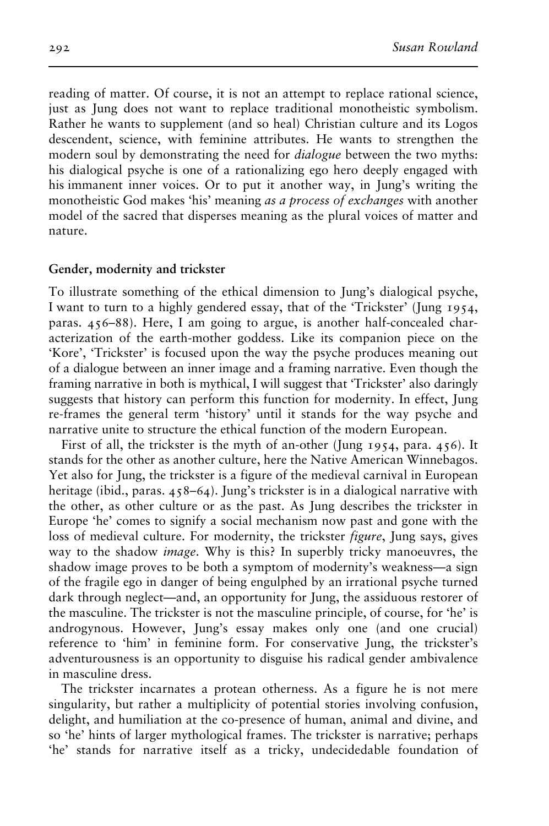reading of matter. Of course, it is not an attempt to replace rational science, just as Jung does not want to replace traditional monotheistic symbolism. Rather he wants to supplement (and so heal) Christian culture and its Logos descendent, science, with feminine attributes. He wants to strengthen the modern soul by demonstrating the need for *dialogue* between the two myths: his dialogical psyche is one of a rationalizing ego hero deeply engaged with his immanent inner voices. Or to put it another way, in Jung's writing the monotheistic God makes 'his' meaning *as a process of exchanges* with another model of the sacred that disperses meaning as the plural voices of matter and nature.

#### **Gender, modernity and trickster**

To illustrate something of the ethical dimension to Jung's dialogical psyche, I want to turn to a highly gendered essay, that of the 'Trickster' (Jung 1954, paras. 456–88). Here, I am going to argue, is another half-concealed characterization of the earth-mother goddess. Like its companion piece on the 'Kore', 'Trickster' is focused upon the way the psyche produces meaning out of a dialogue between an inner image and a framing narrative. Even though the framing narrative in both is mythical, I will suggest that 'Trickster' also daringly suggests that history can perform this function for modernity. In effect, Jung re-frames the general term 'history' until it stands for the way psyche and narrative unite to structure the ethical function of the modern European.

First of all, the trickster is the myth of an-other (Jung 1954, para. 456). It stands for the other as another culture, here the Native American Winnebagos. Yet also for Jung, the trickster is a figure of the medieval carnival in European heritage (ibid., paras. 458–64). Jung's trickster is in a dialogical narrative with the other, as other culture or as the past. As Jung describes the trickster in Europe 'he' comes to signify a social mechanism now past and gone with the loss of medieval culture. For modernity, the trickster *figure*, Jung says, gives way to the shadow *image*. Why is this? In superbly tricky manoeuvres, the shadow image proves to be both a symptom of modernity's weakness—a sign of the fragile ego in danger of being engulphed by an irrational psyche turned dark through neglect—and, an opportunity for Jung, the assiduous restorer of the masculine. The trickster is not the masculine principle, of course, for 'he' is androgynous. However, Jung's essay makes only one (and one crucial) reference to 'him' in feminine form. For conservative Jung, the trickster's adventurousness is an opportunity to disguise his radical gender ambivalence in masculine dress.

The trickster incarnates a protean otherness. As a figure he is not mere singularity, but rather a multiplicity of potential stories involving confusion, delight, and humiliation at the co-presence of human, animal and divine, and so 'he' hints of larger mythological frames. The trickster is narrative; perhaps 'he' stands for narrative itself as a tricky, undecidedable foundation of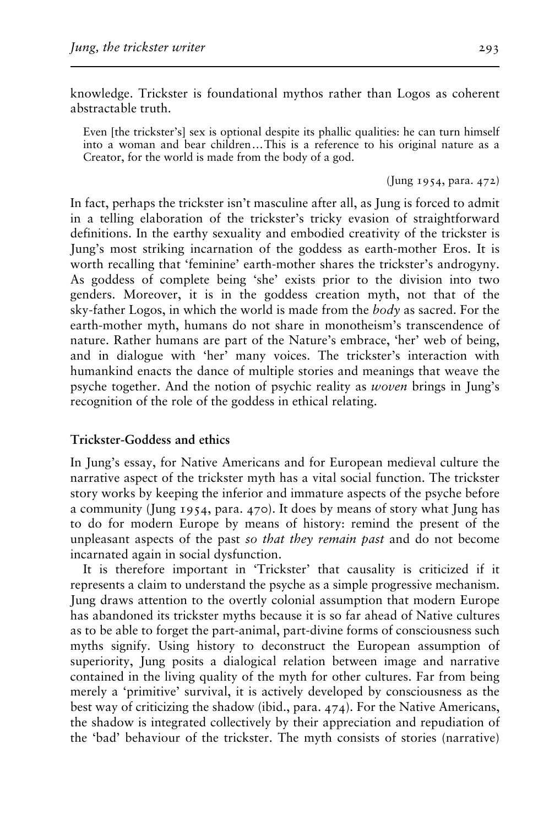knowledge. Trickster is foundational mythos rather than Logos as coherent abstractable truth.

Even [the trickster's] sex is optional despite its phallic qualities: he can turn himself into a woman and bear children…This is a reference to his original nature as a Creator, for the world is made from the body of a god.

(Jung 1954, para. 472)

In fact, perhaps the trickster isn't masculine after all, as Jung is forced to admit in a telling elaboration of the trickster's tricky evasion of straightforward definitions. In the earthy sexuality and embodied creativity of the trickster is Jung's most striking incarnation of the goddess as earth-mother Eros. It is worth recalling that 'feminine' earth-mother shares the trickster's androgyny. As goddess of complete being 'she' exists prior to the division into two genders. Moreover, it is in the goddess creation myth, not that of the sky-father Logos, in which the world is made from the *body* as sacred. For the earth-mother myth, humans do not share in monotheism's transcendence of nature. Rather humans are part of the Nature's embrace, 'her' web of being, and in dialogue with 'her' many voices. The trickster's interaction with humankind enacts the dance of multiple stories and meanings that weave the psyche together. And the notion of psychic reality as *woven* brings in Jung's recognition of the role of the goddess in ethical relating.

# **Trickster-Goddess and ethics**

In Jung's essay, for Native Americans and for European medieval culture the narrative aspect of the trickster myth has a vital social function. The trickster story works by keeping the inferior and immature aspects of the psyche before a community (Jung 1954, para. 470). It does by means of story what Jung has to do for modern Europe by means of history: remind the present of the unpleasant aspects of the past *so that they remain past* and do not become incarnated again in social dysfunction.

It is therefore important in 'Trickster' that causality is criticized if it represents a claim to understand the psyche as a simple progressive mechanism. Jung draws attention to the overtly colonial assumption that modern Europe has abandoned its trickster myths because it is so far ahead of Native cultures as to be able to forget the part-animal, part-divine forms of consciousness such myths signify. Using history to deconstruct the European assumption of superiority, Jung posits a dialogical relation between image and narrative contained in the living quality of the myth for other cultures. Far from being merely a 'primitive' survival, it is actively developed by consciousness as the best way of criticizing the shadow (ibid., para. 474). For the Native Americans, the shadow is integrated collectively by their appreciation and repudiation of the 'bad' behaviour of the trickster. The myth consists of stories (narrative)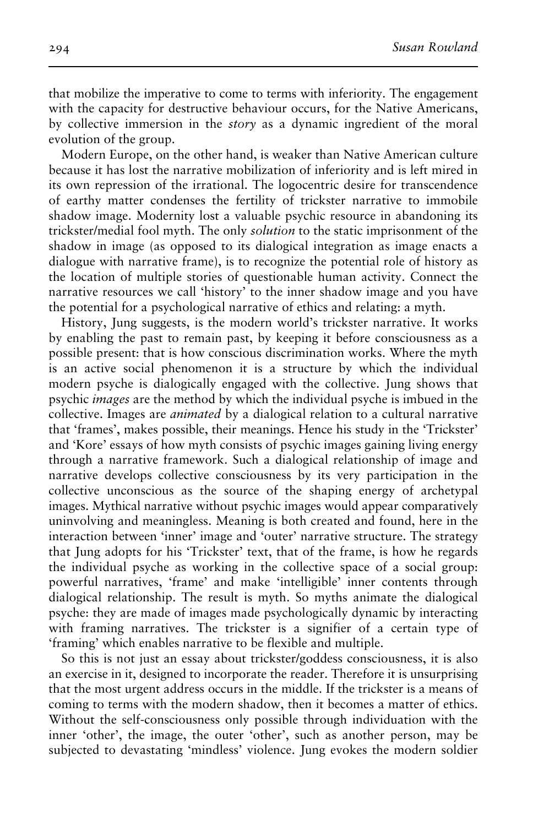that mobilize the imperative to come to terms with inferiority. The engagement with the capacity for destructive behaviour occurs, for the Native Americans, by collective immersion in the *story* as a dynamic ingredient of the moral evolution of the group.

Modern Europe, on the other hand, is weaker than Native American culture because it has lost the narrative mobilization of inferiority and is left mired in its own repression of the irrational. The logocentric desire for transcendence of earthy matter condenses the fertility of trickster narrative to immobile shadow image. Modernity lost a valuable psychic resource in abandoning its trickster/medial fool myth. The only *solution* to the static imprisonment of the shadow in image (as opposed to its dialogical integration as image enacts a dialogue with narrative frame), is to recognize the potential role of history as the location of multiple stories of questionable human activity. Connect the narrative resources we call 'history' to the inner shadow image and you have the potential for a psychological narrative of ethics and relating: a myth.

History, Jung suggests, is the modern world's trickster narrative. It works by enabling the past to remain past, by keeping it before consciousness as a possible present: that is how conscious discrimination works. Where the myth is an active social phenomenon it is a structure by which the individual modern psyche is dialogically engaged with the collective. Jung shows that psychic *images* are the method by which the individual psyche is imbued in the collective. Images are *animated* by a dialogical relation to a cultural narrative that 'frames', makes possible, their meanings. Hence his study in the 'Trickster' and 'Kore' essays of how myth consists of psychic images gaining living energy through a narrative framework. Such a dialogical relationship of image and narrative develops collective consciousness by its very participation in the collective unconscious as the source of the shaping energy of archetypal images. Mythical narrative without psychic images would appear comparatively uninvolving and meaningless. Meaning is both created and found, here in the interaction between 'inner' image and 'outer' narrative structure. The strategy that Jung adopts for his 'Trickster' text, that of the frame, is how he regards the individual psyche as working in the collective space of a social group: powerful narratives, 'frame' and make 'intelligible' inner contents through dialogical relationship. The result is myth. So myths animate the dialogical psyche: they are made of images made psychologically dynamic by interacting with framing narratives. The trickster is a signifier of a certain type of 'framing' which enables narrative to be flexible and multiple.

So this is not just an essay about trickster/goddess consciousness, it is also an exercise in it, designed to incorporate the reader. Therefore it is unsurprising that the most urgent address occurs in the middle. If the trickster is a means of coming to terms with the modern shadow, then it becomes a matter of ethics. Without the self-consciousness only possible through individuation with the inner 'other', the image, the outer 'other', such as another person, may be subjected to devastating 'mindless' violence. Jung evokes the modern soldier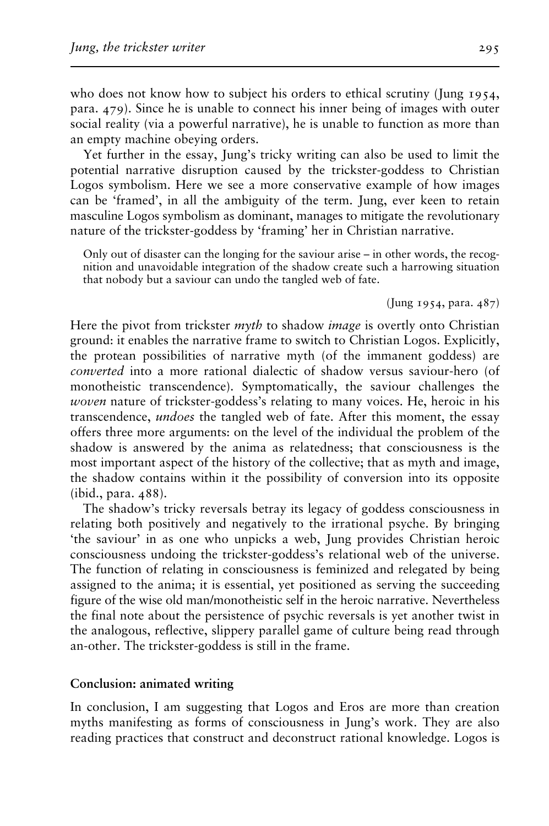who does not know how to subject his orders to ethical scrutiny (Jung 1954, para. 479). Since he is unable to connect his inner being of images with outer social reality (via a powerful narrative), he is unable to function as more than an empty machine obeying orders.

Yet further in the essay, Jung's tricky writing can also be used to limit the potential narrative disruption caused by the trickster-goddess to Christian Logos symbolism. Here we see a more conservative example of how images can be 'framed', in all the ambiguity of the term. Jung, ever keen to retain masculine Logos symbolism as dominant, manages to mitigate the revolutionary nature of the trickster-goddess by 'framing' her in Christian narrative.

Only out of disaster can the longing for the saviour arise – in other words, the recognition and unavoidable integration of the shadow create such a harrowing situation that nobody but a saviour can undo the tangled web of fate.

(Jung 1954, para. 487)

Here the pivot from trickster *myth* to shadow *image* is overtly onto Christian ground: it enables the narrative frame to switch to Christian Logos. Explicitly, the protean possibilities of narrative myth (of the immanent goddess) are *converted* into a more rational dialectic of shadow versus saviour-hero (of monotheistic transcendence). Symptomatically, the saviour challenges the *woven* nature of trickster-goddess's relating to many voices. He, heroic in his transcendence, *undoes* the tangled web of fate. After this moment, the essay offers three more arguments: on the level of the individual the problem of the shadow is answered by the anima as relatedness; that consciousness is the most important aspect of the history of the collective; that as myth and image, the shadow contains within it the possibility of conversion into its opposite (ibid., para. 488).

The shadow's tricky reversals betray its legacy of goddess consciousness in relating both positively and negatively to the irrational psyche. By bringing 'the saviour' in as one who unpicks a web, Jung provides Christian heroic consciousness undoing the trickster-goddess's relational web of the universe. The function of relating in consciousness is feminized and relegated by being assigned to the anima; it is essential, yet positioned as serving the succeeding figure of the wise old man/monotheistic self in the heroic narrative. Nevertheless the final note about the persistence of psychic reversals is yet another twist in the analogous, reflective, slippery parallel game of culture being read through an-other. The trickster-goddess is still in the frame.

#### **Conclusion: animated writing**

In conclusion, I am suggesting that Logos and Eros are more than creation myths manifesting as forms of consciousness in Jung's work. They are also reading practices that construct and deconstruct rational knowledge. Logos is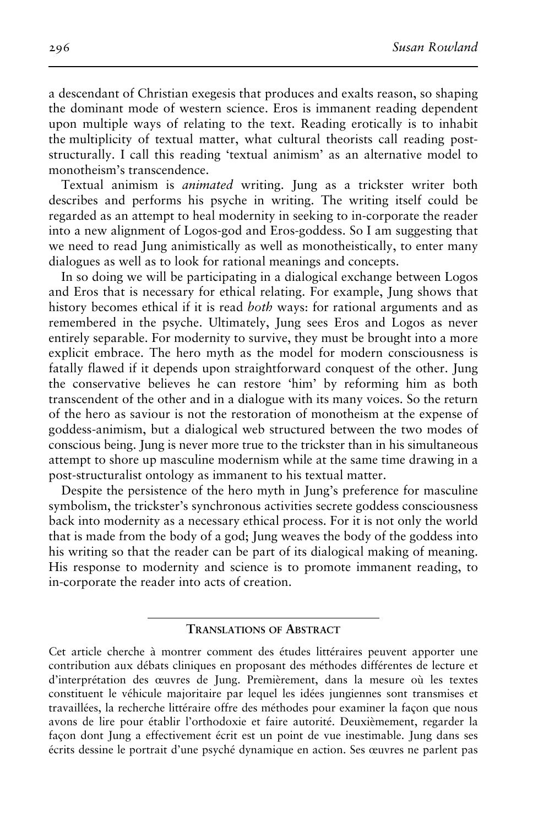a descendant of Christian exegesis that produces and exalts reason, so shaping the dominant mode of western science. Eros is immanent reading dependent upon multiple ways of relating to the text. Reading erotically is to inhabit the multiplicity of textual matter, what cultural theorists call reading poststructurally. I call this reading 'textual animism' as an alternative model to monotheism's transcendence.

Textual animism is *animated* writing. Jung as a trickster writer both describes and performs his psyche in writing. The writing itself could be regarded as an attempt to heal modernity in seeking to in-corporate the reader into a new alignment of Logos-god and Eros-goddess. So I am suggesting that we need to read Jung animistically as well as monotheistically, to enter many dialogues as well as to look for rational meanings and concepts.

In so doing we will be participating in a dialogical exchange between Logos and Eros that is necessary for ethical relating. For example, Jung shows that history becomes ethical if it is read *both* ways: for rational arguments and as remembered in the psyche. Ultimately, Jung sees Eros and Logos as never entirely separable. For modernity to survive, they must be brought into a more explicit embrace. The hero myth as the model for modern consciousness is fatally flawed if it depends upon straightforward conquest of the other. Jung the conservative believes he can restore 'him' by reforming him as both transcendent of the other and in a dialogue with its many voices. So the return of the hero as saviour is not the restoration of monotheism at the expense of goddess-animism, but a dialogical web structured between the two modes of conscious being. Jung is never more true to the trickster than in his simultaneous attempt to shore up masculine modernism while at the same time drawing in a post-structuralist ontology as immanent to his textual matter.

Despite the persistence of the hero myth in Jung's preference for masculine symbolism, the trickster's synchronous activities secrete goddess consciousness back into modernity as a necessary ethical process. For it is not only the world that is made from the body of a god; Jung weaves the body of the goddess into his writing so that the reader can be part of its dialogical making of meaning. His response to modernity and science is to promote immanent reading, to in-corporate the reader into acts of creation.

# **TRANSLATIONS OF ABSTRACT**

Cet article cherche à montrer comment des études littéraires peuvent apporter une contribution aux débats cliniques en proposant des méthodes différentes de lecture et d'interprétation des œuvres de Jung. Premièrement, dans la mesure où les textes constituent le véhicule majoritaire par lequel les idées jungiennes sont transmises et travaillées, la recherche littéraire offre des méthodes pour examiner la façon que nous avons de lire pour établir l'orthodoxie et faire autorité. Deuxièmement, regarder la façon dont Jung a effectivement écrit est un point de vue inestimable. Jung dans ses écrits dessine le portrait d'une psyché dynamique en action. Ses œuvres ne parlent pas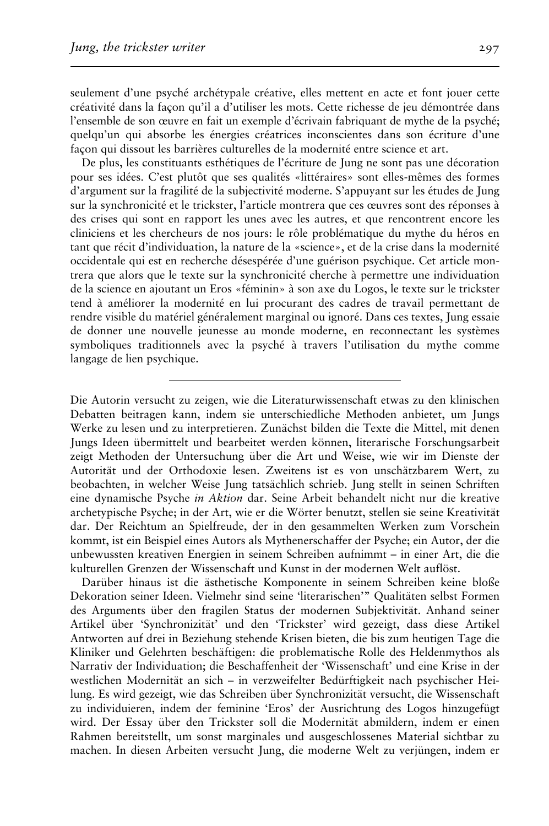seulement d'une psyché archétypale créative, elles mettent en acte et font jouer cette créativité dans la façon qu'il a d'utiliser les mots. Cette richesse de jeu démontrée dans l'ensemble de son œuvre en fait un exemple d'écrivain fabriquant de mythe de la psyché; quelqu'un qui absorbe les énergies créatrices inconscientes dans son écriture d'une façon qui dissout les barrières culturelles de la modernité entre science et art.

De plus, les constituants esthétiques de l'écriture de Jung ne sont pas une décoration pour ses idées. C'est plutôt que ses qualités «littéraires» sont elles-mêmes des formes d'argument sur la fragilité de la subjectivité moderne. S'appuyant sur les études de Jung sur la synchronicité et le trickster, l'article montrera que ces œuvres sont des réponses à des crises qui sont en rapport les unes avec les autres, et que rencontrent encore les cliniciens et les chercheurs de nos jours: le rôle problématique du mythe du héros en tant que récit d'individuation, la nature de la «science», et de la crise dans la modernité occidentale qui est en recherche désespérée d'une guérison psychique. Cet article montrera que alors que le texte sur la synchronicité cherche à permettre une individuation de la science en ajoutant un Eros «féminin» à son axe du Logos, le texte sur le trickster tend à améliorer la modernité en lui procurant des cadres de travail permettant de rendre visible du matériel généralement marginal ou ignoré. Dans ces textes, Jung essaie de donner une nouvelle jeunesse au monde moderne, en reconnectant les systèmes symboliques traditionnels avec la psyché à travers l'utilisation du mythe comme langage de lien psychique.

Die Autorin versucht zu zeigen, wie die Literaturwissenschaft etwas zu den klinischen Debatten beitragen kann, indem sie unterschiedliche Methoden anbietet, um Jungs Werke zu lesen und zu interpretieren. Zunächst bilden die Texte die Mittel, mit denen Jungs Ideen übermittelt und bearbeitet werden können, literarische Forschungsarbeit zeigt Methoden der Untersuchung über die Art und Weise, wie wir im Dienste der Autorität und der Orthodoxie lesen. Zweitens ist es von unschätzbarem Wert, zu beobachten, in welcher Weise Jung tatsächlich schrieb. Jung stellt in seinen Schriften eine dynamische Psyche *in Aktion* dar. Seine Arbeit behandelt nicht nur die kreative archetypische Psyche; in der Art, wie er die Wörter benutzt, stellen sie seine Kreativität dar. Der Reichtum an Spielfreude, der in den gesammelten Werken zum Vorschein kommt, ist ein Beispiel eines Autors als Mythenerschaffer der Psyche; ein Autor, der die unbewussten kreativen Energien in seinem Schreiben aufnimmt – in einer Art, die die kulturellen Grenzen der Wissenschaft und Kunst in der modernen Welt auflöst.

Darüber hinaus ist die ästhetische Komponente in seinem Schreiben keine bloße Dekoration seiner Ideen. Vielmehr sind seine 'literarischen'" Qualitäten selbst Formen des Arguments über den fragilen Status der modernen Subjektivität. Anhand seiner Artikel über 'Synchronizität' und den 'Trickster' wird gezeigt, dass diese Artikel Antworten auf drei in Beziehung stehende Krisen bieten, die bis zum heutigen Tage die Kliniker und Gelehrten beschäftigen: die problematische Rolle des Heldenmythos als Narrativ der Individuation; die Beschaffenheit der 'Wissenschaft' und eine Krise in der westlichen Modernität an sich – in verzweifelter Bedürftigkeit nach psychischer Heilung. Es wird gezeigt, wie das Schreiben über Synchronizität versucht, die Wissenschaft zu individuieren, indem der feminine 'Eros' der Ausrichtung des Logos hinzugefügt wird. Der Essay über den Trickster soll die Modernität abmildern, indem er einen Rahmen bereitstellt, um sonst marginales und ausgeschlossenes Material sichtbar zu machen. In diesen Arbeiten versucht Jung, die moderne Welt zu verjüngen, indem er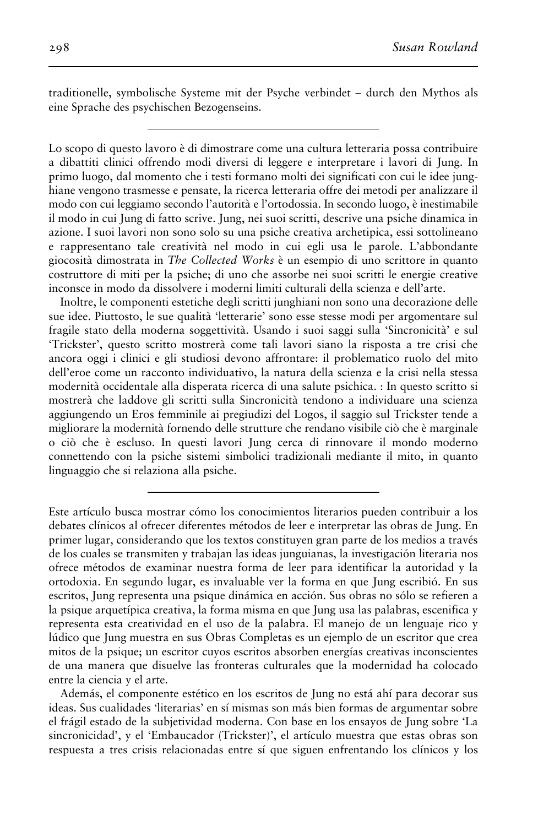traditionelle, symbolische Systeme mit der Psyche verbindet – durch den Mythos als eine Sprache des psychischen Bezogenseins.

Lo scopo di questo lavoro è di dimostrare come una cultura letteraria possa contribuire a dibattiti clinici offrendo modi diversi di leggere e interpretare i lavori di Jung. In primo luogo, dal momento che i testi formano molti dei significati con cui le idee junghiane vengono trasmesse e pensate, la ricerca letteraria offre dei metodi per analizzare il modo con cui leggiamo secondo l'autorità e l'ortodossia. In secondo luogo, è inestimabile il modo in cui Jung di fatto scrive. Jung, nei suoi scritti, descrive una psiche dinamica in azione. I suoi lavori non sono solo su una psiche creativa archetipica, essi sottolineano e rappresentano tale creatività nel modo in cui egli usa le parole. L'abbondante giocosità dimostrata in *The Collected Works* è un esempio di uno scrittore in quanto costruttore di miti per la psiche; di uno che assorbe nei suoi scritti le energie creative inconsce in modo da dissolvere i moderni limiti culturali della scienza e dell'arte.

Inoltre, le componenti estetiche degli scritti junghiani non sono una decorazione delle sue idee. Piuttosto, le sue qualità 'letterarie' sono esse stesse modi per argomentare sul fragile stato della moderna soggettività. Usando i suoi saggi sulla 'Sincronicità' e sul 'Trickster', questo scritto mostrerà come tali lavori siano la risposta a tre crisi che ancora oggi i clinici e gli studiosi devono affrontare: il problematico ruolo del mito dell'eroe come un racconto individuativo, la natura della scienza e la crisi nella stessa modernità occidentale alla disperata ricerca di una salute psichica. : In questo scritto si mostrerà che laddove gli scritti sulla Sincronicità tendono a individuare una scienza aggiungendo un Eros femminile ai pregiudizi del Logos, il saggio sul Trickster tende a migliorare la modernità fornendo delle strutture che rendano visibile ciò che è marginale o ciò che è escluso. In questi lavori Jung cerca di rinnovare il mondo moderno connettendo con la psiche sistemi simbolici tradizionali mediante il mito, in quanto linguaggio che si relaziona alla psiche.

Además, el componente estético en los escritos de Jung no está ahí para decorar sus ideas. Sus cualidades 'literarias' en sí mismas son más bien formas de argumentar sobre el frágil estado de la subjetividad moderna. Con base en los ensayos de Jung sobre 'La sincronicidad', y el 'Embaucador (Trickster)', el artículo muestra que estas obras son respuesta a tres crisis relacionadas entre sí que siguen enfrentando los clínicos y los

Este artículo busca mostrar cómo los conocimientos literarios pueden contribuir a los debates clínicos al ofrecer diferentes métodos de leer e interpretar las obras de Jung. En primer lugar, considerando que los textos constituyen gran parte de los medios a través de los cuales se transmiten y trabajan las ideas junguianas, la investigación literaria nos ofrece métodos de examinar nuestra forma de leer para identificar la autoridad y la ortodoxia. En segundo lugar, es invaluable ver la forma en que Jung escribió. En sus escritos, Jung representa una psique dinámica en acción. Sus obras no sólo se refieren a la psique arquetípica creativa, la forma misma en que Jung usa las palabras, escenifica y representa esta creatividad en el uso de la palabra. El manejo de un lenguaje rico y lúdico que Jung muestra en sus Obras Completas es un ejemplo de un escritor que crea mitos de la psique; un escritor cuyos escritos absorben energías creativas inconscientes de una manera que disuelve las fronteras culturales que la modernidad ha colocado entre la ciencia y el arte.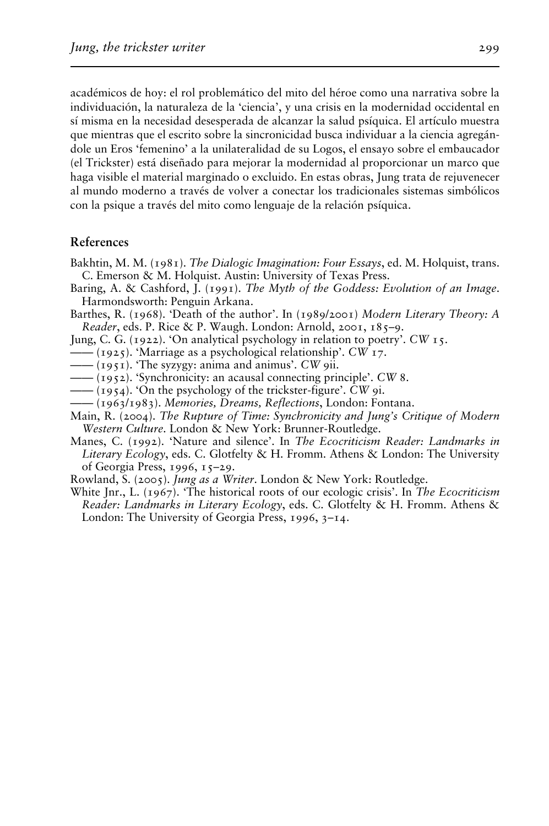académicos de hoy: el rol problemático del mito del héroe como una narrativa sobre la individuación, la naturaleza de la 'ciencia', y una crisis en la modernidad occidental en sí misma en la necesidad desesperada de alcanzar la salud psíquica. El artículo muestra que mientras que el escrito sobre la sincronicidad busca individuar a la ciencia agregándole un Eros 'femenino' a la unilateralidad de su Logos, el ensayo sobre el embaucador (el Trickster) está diseñado para mejorar la modernidad al proporcionar un marco que haga visible el material marginado o excluido. En estas obras, Jung trata de rejuvenecer al mundo moderno a través de volver a conectar los tradicionales sistemas simbólicos con la psique a través del mito como lenguaje de la relación psíquica.

## **References**

- Bakhtin, M. M. (1981). *The Dialogic Imagination: Four Essays*, ed. M. Holquist, trans. C. Emerson & M. Holquist. Austin: University of Texas Press.
- Baring, A. & Cashford, J. (1991). *The Myth of the Goddess: Evolution of an Image*. Harmondsworth: Penguin Arkana.
- Barthes, R. (1968). 'Death of the author'. In (1989/2001) *Modern Literary Theory: A Reader*, eds. P. Rice & P. Waugh. London: Arnold, 2001, 185–9.
- Jung, C. G. (1922). 'On analytical psychology in relation to poetry'. *CW* 15.
- —— (1925). 'Marriage as a psychological relationship'. *CW* 17.
- —— (1951). 'The syzygy: anima and animus'. *CW* 9ii.
- —— (1952). 'Synchronicity: an acausal connecting principle'. *CW* 8.
- —— (1954). 'On the psychology of the trickster-figure'. *CW* 9i.
- —— (1963/1983). *Memories, Dreams, Reflections*, London: Fontana.
- Main, R. (2004). *The Rupture of Time: Synchronicity and Jung's Critique of Modern Western Culture*. London & New York: Brunner-Routledge.
- Manes, C. (1992). 'Nature and silence'. In *The Ecocriticism Reader: Landmarks in Literary Ecology*, eds. C. Glotfelty & H. Fromm. Athens & London: The University of Georgia Press, 1996, 15–29.
- Rowland, S. (2005). *Jung as a Writer*. London & New York: Routledge.
- White Jnr., L. (1967). 'The historical roots of our ecologic crisis'. In *The Ecocriticism Reader: Landmarks in Literary Ecology*, eds. C. Glotfelty & H. Fromm. Athens & London: The University of Georgia Press, 1996, 3–14.